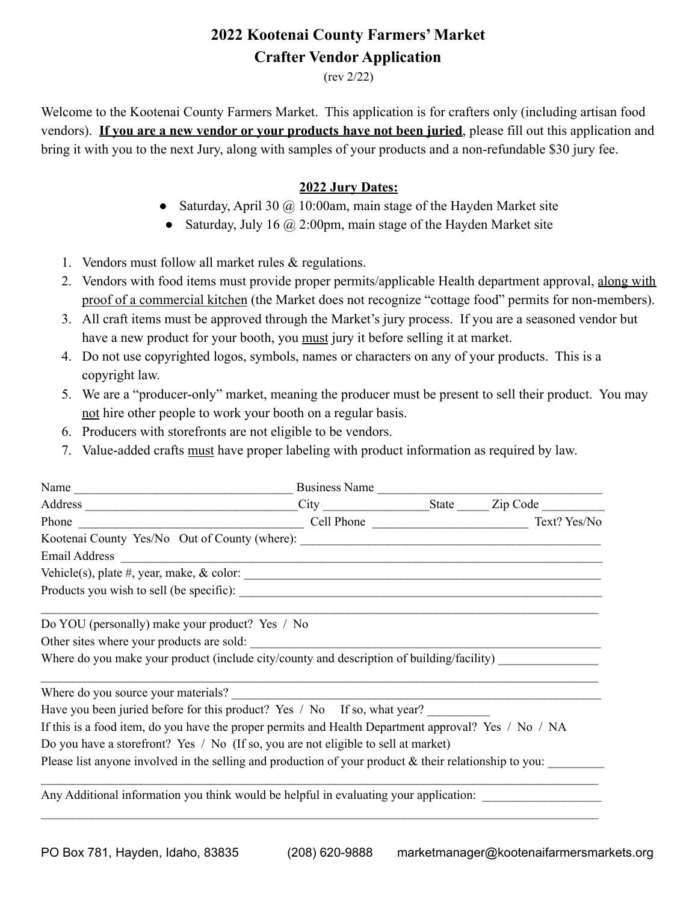## **2022 Kootenai County Farmers' Market Crafter Vendor Application**

(rev 2/22)

Welcome to the Kootenai County Farmers Market. This application is for crafters only (including artisan food vendors). **If you are a new vendor or your products have not been juried**, please fill out this application and bring it with you to the next Jury, along with samples of your products and a non-refundable \$30 jury fee.

## **2022 Jury Dates:**

- Saturday, April 30  $\omega$  10:00am, main stage of the Hayden Market site
- Saturday, July 16  $\omega$  2:00pm, main stage of the Hayden Market site
- 1. Vendors must follow all market rules & regulations.
- 2. Vendors with food items must provide proper permits/applicable Health department approval, along with proof of a commercial kitchen (the Market does not recognize "cottage food" permits for non-members).
- 3. All craft items must be approved through the Market's jury process. If you are a seasoned vendor but have a new product for your booth, you must jury it before selling it at market.
- 4. Do not use copyrighted logos, symbols, names or characters on any of your products. This is a copyright law.
- 5. We are a "producer-only" market, meaning the producer must be present to sell their product. You may not hire other people to work your booth on a regular basis.
- 6. Producers with storefronts are not eligible to be vendors.
- 7. Value-added crafts must have proper labeling with product information as required by law.

|                                                                                                           |  | Business Name |
|-----------------------------------------------------------------------------------------------------------|--|---------------|
|                                                                                                           |  |               |
|                                                                                                           |  |               |
| Kootenai County Yes/No Out of County (where): ___________________________________                         |  |               |
|                                                                                                           |  |               |
|                                                                                                           |  |               |
|                                                                                                           |  |               |
|                                                                                                           |  |               |
| Do YOU (personally) make your product? Yes / No                                                           |  |               |
| Other sites where your products are sold:                                                                 |  |               |
| Where do you make your product (include city/county and description of building/facility)                 |  |               |
|                                                                                                           |  |               |
|                                                                                                           |  |               |
| Have you been juried before for this product? Yes / No If so, what year?                                  |  |               |
| If this is a food item, do you have the proper permits and Health Department approval? Yes / No / NA      |  |               |
| Do you have a storefront? Yes / No (If so, you are not eligible to sell at market)                        |  |               |
| Please list anyone involved in the selling and production of your product $\&$ their relationship to you: |  |               |
|                                                                                                           |  |               |
| Any Additional information you think would be helpful in evaluating your application:                     |  |               |
|                                                                                                           |  |               |